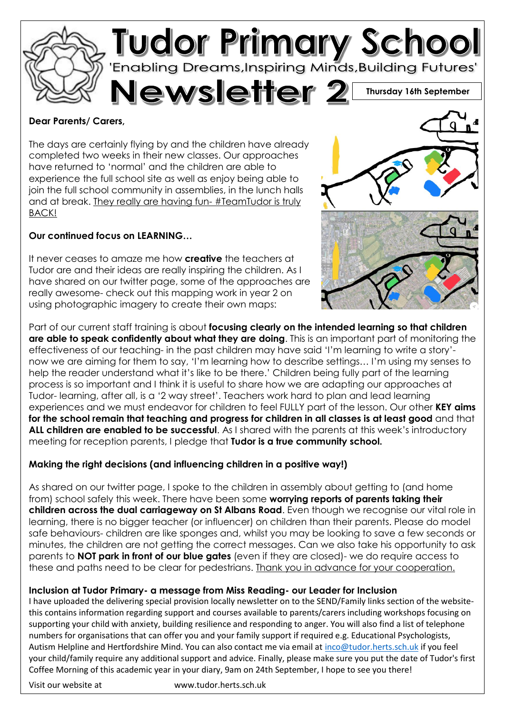

### **Dear Parents/ Carers,**

The days are certainly flying by and the children have already completed two weeks in their new classes. Our approaches have returned to 'normal' and the children are able to experience the full school site as well as enjoy being able to join the full school community in assemblies, in the lunch halls and at break. They really are having fun- #TeamTudor is truly BACK!

### **Our continued focus on LEARNING…**

It never ceases to amaze me how **creative** the teachers at Tudor are and their ideas are really inspiring the children. As I have shared on our twitter page, some of the approaches are really awesome- check out this mapping work in year 2 on using photographic imagery to create their own maps:



Part of our current staff training is about **focusing clearly on the intended learning so that children are able to speak confidently about what they are doing**. This is an important part of monitoring the effectiveness of our teaching- in the past children may have said 'I'm learning to write a story' now we are aiming for them to say, 'I'm learning how to describe settings… I'm using my senses to help the reader understand what it's like to be there.' Children being fully part of the learning process is so important and I think it is useful to share how we are adapting our approaches at Tudor- learning, after all, is a '2 way street'. Teachers work hard to plan and lead learning experiences and we must endeavor for children to feel FULLY part of the lesson. Our other **KEY aims for the school remain that teaching and progress for children in all classes is at least good** and that **ALL children are enabled to be successful**. As I shared with the parents at this week's introductory meeting for reception parents, I pledge that **Tudor is a true community school.**

### **Making the right decisions (and influencing children in a positive way!)**

As shared on our twitter page, I spoke to the children in assembly about getting to (and home from) school safely this week. There have been some **worrying reports of parents taking their children across the dual carriageway on St Albans Road**. Even though we recognise our vital role in learning, there is no bigger teacher (or influencer) on children than their parents. Please do model safe behaviours- children are like sponges and, whilst you may be looking to save a few seconds or minutes, the children are not getting the correct messages. Can we also take his opportunity to ask parents to **NOT park in front of our blue gates** (even if they are closed)- we do require access to these and paths need to be clear for pedestrians. Thank you in advance for your cooperation.

### **Inclusion at Tudor Primary- a message from Miss Reading- our Leader for Inclusion**

I have uploaded the delivering special provision locally newsletter on to the SEND/Family links section of the websitethis contains information regarding support and courses available to parents/carers including workshops focusing on supporting your child with anxiety, building resilience and responding to anger. You will also find a list of telephone numbers for organisations that can offer you and your family support if required e.g. Educational Psychologists, Autism Helpline and Hertfordshire Mind. You can also contact me via email at [inco@tudor.herts.sch.uk](mailto:inco@tudor.herts.sch.uk) if you feel your child/family require any additional support and advice. Finally, please make sure you put the date of Tudor's first Coffee Morning of this academic year in your diary, 9am on 24th September, I hope to see you there!

Visit our website at www.tudor.herts.sch.uk